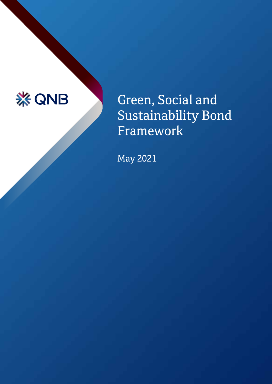

# Green, Social and Sustainability Bond Framework

May 2021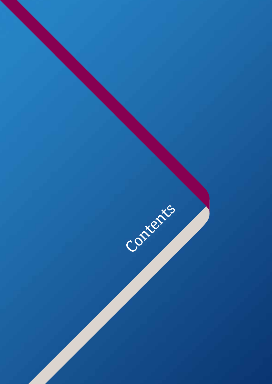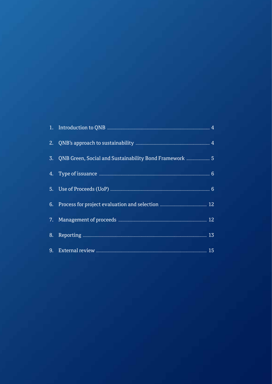| 3. | QNB Green, Social and Sustainability Bond Framework  5 |  |
|----|--------------------------------------------------------|--|
|    |                                                        |  |
|    |                                                        |  |
|    |                                                        |  |
|    |                                                        |  |
|    |                                                        |  |
|    |                                                        |  |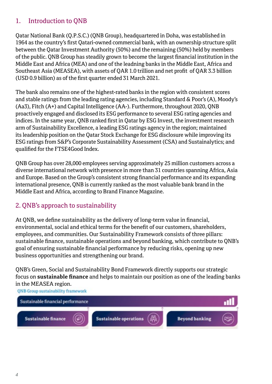## 1. Introduction to QNB

Qatar National Bank (Q.P.S.C.) (QNB Group), headquartered in Doha, was established in 1964 as the country's first Qatari-owned commercial bank, with an ownership structure split between the Qatar Investment Authority (50%) and the remaining (50%) held by members of the public. QNB Group has steadily grown to become the largest financial institution in the Middle East and Africa (MEA) and one of the leadning banks in the Middle East, Africa and Southeast Asia (MEASEA), with assets of QAR 1.0 trillion and net profit of QAR 3.3 billion (USD 0.9 billion) as of the first quarter ended 31 March 2021.

The bank also remains one of the highest-rated banks in the region with consistent scores and stable ratings from the leading rating agencies, including Standard & Poor's (A), Moody's (Aa3), Fitch (A+) and Capital Intelligence (AA-). Furthermore, throughout 2020, QNB proactively engaged and disclosed its ESG performance to several ESG rating agencies and indices. In the same year, QNB ranked first in Qatar by ESG Invest, the investment research arm of Sustainability Excellence, a leading ESG ratings agency in the region; maintained its leadership position on the Qatar Stock Exchange for ESG disclosure while improving its ESG ratings from S&P's Corporate Sustainability Assessment (CSA) and Sustainalytics; and qualified for the FTSE4Good Index.

QNB Group has over 28,000 employees serving approximately 25 million customers across a diverse international network with presence in more than 31 countries spanning Africa, Asia and Europe. Based on the Group's consistent strong financial performance and its expanding international presence, QNB is currently ranked as the most valuable bank brand in the Middle East and Africa, according to Brand Finance Magazine.

## 2. QNB's approach to sustainability

At QNB, we define sustainability as the delivery of long-term value in financial, environmental, social and ethical terms for the benefit of our customers, shareholders, employees, and communities. Our Sustainability Framework consists of three pillars: sustainable finance, sustainable operations and beyond banking, which contribute to QNB's goal of ensuring sustainable financial performance by reducing risks, opening up new business opportunities and strengthening our brand.

QNB's Green, Social and Sustainability Bond Framework directly supports our strategic focus on **sustainable finance** and helps to maintain our position as one of the leading banks in the MEASEA region.



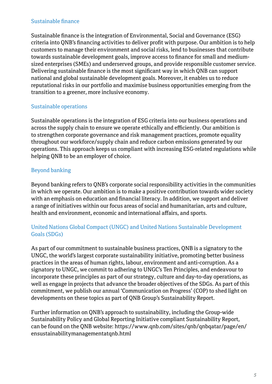#### Sustainable finance

Sustainable finance is the integration of Environmental, Social and Governance (ESG) criteria into QNB's financing activities to deliver profit with purpose. Our ambition is to help customers to manage their environment and social risks, lend to businesses that contribute towards sustainable development goals, improve access to finance for small and mediumsized enterprises (SMEs) and underserved groups, and provide responsible customer service. Delivering sustainable finance is the most significant way in which QNB can support national and global sustainable development goals. Moreover, it enables us to reduce reputational risks in our portfolio and maximise business opportunities emerging from the transition to a greener, more inclusive economy.

#### Sustainable operations

Sustainable operations is the integration of ESG criteria into our business operations and across the supply chain to ensure we operate ethically and efficiently. Our ambition is to strengthen corporate governance and risk management practices, promote equality throughout our workforce/supply chain and reduce carbon emissions generated by our operations. This approach keeps us compliant with increasing ESG-related regulations while helping QNB to be an employer of choice.

#### Beyond banking

Beyond banking refers to QNB's corporate social responsibility activities in the communities in which we operate. Our ambition is to make a positive contribution towards wider society with an emphasis on education and financial literacy. In addition, we support and deliver a range of initiatives within our focus areas of social and humanitarian, arts and culture, health and environment, economic and international affairs, and sports.

#### United Nations Global Compact (UNGC) and United Nations Sustainable Development Goals (SDGs)

As part of our commitment to sustainable business practices, QNB is a signatory to the UNGC, the world's largest corporate sustainability initiative, promoting better business practices in the areas of human rights, labour, environment and anti-corruption. As a signatory to UNGC, we commit to adhering to UNGC's Ten Principles, and endeavour to incorporate these principles as part of our strategy, culture and day-to-day operations, as well as engage in projects that advance the broader objectives of the SDGs. As part of this commitment, we publish our annual 'Communication on Progress' (COP) to shed light on developments on these topics as part of QNB Group's Sustainability Report.

Further information on QNB's approach to sustainability, including the Group-wide Sustainability Policy and Global Reporting Initiative compliant Sustainability Report, can be found on the QNB website: https://www.qnb.com/sites/qnb/qnbqatar/page/en/ ensustainabilitymanagementatqnb.html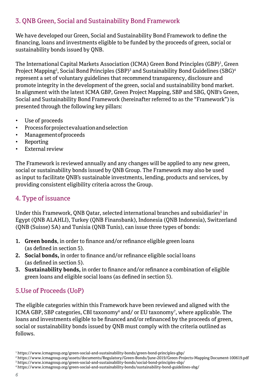## 3. QNB Green, Social and Sustainability Bond Framework

We have developed our Green, Social and Sustainability Bond Framework to define the financing, loans and investments eligible to be funded by the proceeds of green, social or sustainability bonds issued by QNB.

The International Capital Markets Association (ICMA) Green Bond Principles (GBP)<sup>1</sup>, Green Project Mapping<sup>2</sup>, Social Bond Principles (SBP)<sup>3</sup> and Sustainability Bond Guidelines (SBG)<sup>4</sup> represent a set of voluntary guidelines that recommend transparency, disclosure and promote integrity in the development of the green, social and sustainability bond market. In alignment with the latest ICMA GBP, Green Project Mapping, SBP and SBG, QNB's Green, Social and Sustainability Bond Framework (hereinafter referred to as the "Framework") is presented through the following key pillars:

- Use of proceeds
- Process for project evaluation and selection
- Management of proceeds
- Reporting
- External review

The Framework is reviewed annually and any changes will be applied to any new green, social or sustainability bonds issued by QNB Group. The Framework may also be used as input to facilitate QNB's sustainable investments, lending, products and services, by providing consistent eligibility criteria across the Group.

## 4. Type of issuance

Under this Framework, QNB Qatar, selected international branches and subsidiaries<sup>s</sup> in Egypt (QNB ALAHLI), Turkey (QNB Finansbank), Indonesia (QNB Indonesia), Switzerland (QNB (Suisse) SA) and Tunisia (QNB Tunis), can issue three types of bonds:

- **1. Green bonds**, in order to finance and/or refinance eligible green loans (as defined in section 5).
- **2. Social bonds,** in order to finance and/or refinance eligible social loans (as defined in section 5).
- **3. Sustainability bonds,** in order to finance and/or refinance a combination of eligible green loans and eligible social loans (as defined in section 5).

## 5.Use of Proceeds (UoP)

The eligible categories within this Framework have been reviewed and aligned with the ICMA GBP, SBP categories, CBI taxonomy $^{\rm 6}$  and/ or EU taxonomy $^{\rm 7}$ , where applicable. The loans and investments eligible to be financed and/or refinanced by the proceeds of green, social or sustainability bonds issued by QNB must comply with the criteria outlined as follows.

4 https://www.icmagroup.org/green-social-and-sustainability-bonds/sustainability-bond-guidelines-sbg/

<sup>1</sup> https://www.icmagroup.org/green-social-and-sustainability-bonds/green-bond-principles-gbp/

<sup>2</sup> https://www.icmagroup.org/assets/documents/Regulatory/Green-Bonds/June-2019/Green-Projects-Mapping Document-100619.pdf

<sup>3</sup> https://www.icmagroup.org/green-social-and-sustainability-bonds/social-bond-principles-sbp/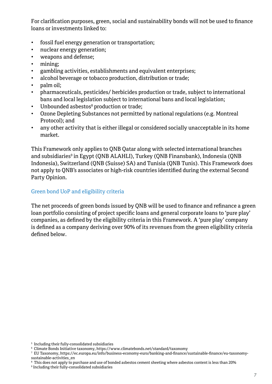For clarification purposes, green, social and sustainability bonds will not be used to finance loans or investments linked to:

- fossil fuel energy generation or transportation;
- nuclear energy generation;
- weapons and defense;
- mining;
- gambling activities, establishments and equivalent enterprises;
- alcohol beverage or tobacco production, distribution or trade;
- palm oil;
- pharmaceuticals, pesticides/ herbicides production or trade, subject to international bans and local legislation subject to international bans and local legislation;
- Unbounded asbestos<sup>8</sup> production or trade;
- Ozone Depleting Substances not permitted by national regulations (e.g. Montreal Protocol); and
- any other activity that is either illegal or considered socially unacceptable in its home market.

This Framework only applies to QNB Qatar along with selected international branches and subsidiaries<sup>9</sup> in Egypt (QNB ALAHLI), Turkey (QNB Finansbank), Indonesia (QNB Indonesia), Switzerland (QNB (Suisse) SA) and Tunisia (QNB Tunis). This Framework does not apply to QNB's associates or high-risk countries identified during the external Second Party Opinion.

#### Green bond UoP and eligibility criteria

The net proceeds of green bonds issued by QNB will be used to finance and refinance a green loan portfolio consisting of project specific loans and general corporate loans to 'pure play' companies, as defined by the eligibility criteria in this Framework. A 'pure play' company is defined as a company deriving over 90% of its revenues from the green eligibility criteria defined below.

<sup>5</sup> Including their fully-consolidated subsidiaries

 $^{\rm 6}$  Climate Bonds Initiative taxonomy, https://www.climatebonds.net/standard/taxonomy

<sup>7</sup> EU Taxonomy, https://ec.europa.eu/info/business-economy-euro/banking-and-finance/sustainable-finance/eu-taxonomysustainable-activities\_en

 $^{\rm 8}$  This does not apply to purchase and use of bonded asbestos cement sheeting where asbestos content is less than 20%

<sup>9</sup> Including their fully-consolidated subsidiaries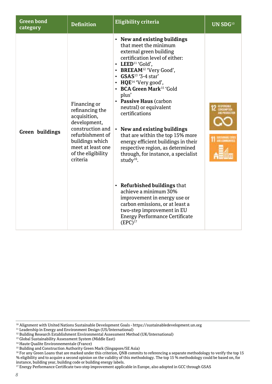| <b>Green bond</b><br>category | <b>Definition</b>                                                                                                                                                                 | Eligibility criteria                                                                                                                                                                                                                                                                                                                                                                                                                                                                                                                                                                                                                                                                                                                                                                                                          | UN SDG <sup>10</sup> |
|-------------------------------|-----------------------------------------------------------------------------------------------------------------------------------------------------------------------------------|-------------------------------------------------------------------------------------------------------------------------------------------------------------------------------------------------------------------------------------------------------------------------------------------------------------------------------------------------------------------------------------------------------------------------------------------------------------------------------------------------------------------------------------------------------------------------------------------------------------------------------------------------------------------------------------------------------------------------------------------------------------------------------------------------------------------------------|----------------------|
| Green buildings               | Financing or<br>refinancing the<br>acquisition,<br>development.<br>construction and<br>refurbishment of<br>buildings which<br>meet at least one<br>of the eligibility<br>criteria | • New and existing buildings<br>that meet the minimum<br>external green building<br>certification level of either:<br>• LEED <sup>11</sup> 'Gold',<br>• BREEAM <sup>12</sup> 'Very Good',<br>$\cdot$ GSAS <sup>13</sup> '3-4 star'<br>• HQE <sup>14</sup> 'Very good',<br>• BCA Green Mark <sup>15</sup> 'Gold<br>plus'<br>• Passive Haus (carbon<br>neutral) or equivalent<br>certifications<br>New and existing buildings<br>that are within the top 15% more<br>energy efficient buildings in their<br>respective region, as determined<br>through, for instance, a specialist<br>study $^{16}$ .<br>$\cdot$ Refurbished buildings that<br>achieve a minimum 30%<br>improvement in energy use or<br>carbon emissions, or at least a<br>two-step improvement in EU<br><b>Energy Performance Certificate</b><br>$(EPC)^{17}$ |                      |

<sup>10</sup> Alignment with United Nations Sustainable Development Goals - https://sustainabledevelopment.un.org

<sup>&</sup>lt;sup>11</sup> Leadership in Energy and Environment Design (US/International)

<sup>12</sup> Building Research Establishment Environmental Assessment Method (UK/International)

<sup>&</sup>lt;sup>13</sup> Global Sustainability Assessment System (Middle East)

<sup>14</sup> Haute Qualite Environnementale (France)

<sup>&</sup>lt;sup>15</sup> Building and Construction Authority Green Mark (Singapore/SE Asia)

<sup>&</sup>lt;sup>16</sup> For any Green Loans that are marked under this criterion, QNB commits to referencing a separate methodology to verify the top 15 % eligibility and to acquire a second opinion on the validity of this methodology. The top 15 % methodology could be based on, for instance, building year, building code or building energy labels.

<sup>17</sup> Energy Performance Certificate two-step improvement applicable in Europe, also adopted in GCC through GSAS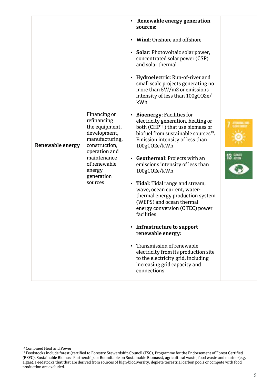| Renewable energy | Financing or<br>refinancing<br>the equipment,<br>development,<br>manufacturing,<br>construction,<br>operation and<br>maintenance<br>of renewable<br>energy<br>generation<br>sources | Renewable energy generation<br>sources:<br>• Wind: Onshore and offshore<br>• Solar: Photovoltaic solar power,<br>concentrated solar power (CSP)<br>and solar thermal<br>• Hydroelectric: Run-of-river and<br>small scale projects generating no<br>more than 5W/m2 or emissions<br>intensity of less than 100gCO2e/<br>kWh<br>• Bioenergy: Facilities for<br>electricity generation, heating or<br>both (CHP <sup>18</sup> ) that use biomass or<br>biofuel from sustainable sources <sup>19</sup> .<br>Emission intensity of less than<br>100gCO2e/kWh<br>• Geothermal: Projects with an<br>emissions intensity of less than<br>100gCO2e/kWh<br>• Tidal: Tidal range and stream,<br>wave, ocean current, water-<br>thermal energy production system<br>(WEPS) and ocean thermal<br>energy conversion (OTEC) power<br>facilities<br>• Infrastructure to support<br>renewable energy:<br>Transmission of renewable<br>electricity from its production site<br>to the electricity grid, including | 13 |
|------------------|-------------------------------------------------------------------------------------------------------------------------------------------------------------------------------------|-------------------------------------------------------------------------------------------------------------------------------------------------------------------------------------------------------------------------------------------------------------------------------------------------------------------------------------------------------------------------------------------------------------------------------------------------------------------------------------------------------------------------------------------------------------------------------------------------------------------------------------------------------------------------------------------------------------------------------------------------------------------------------------------------------------------------------------------------------------------------------------------------------------------------------------------------------------------------------------------------|----|
|                  |                                                                                                                                                                                     | increasing grid capacity and<br>connections                                                                                                                                                                                                                                                                                                                                                                                                                                                                                                                                                                                                                                                                                                                                                                                                                                                                                                                                                     |    |

<sup>18</sup> Combined Heat and Power

<sup>19</sup> Feedstocks include forest (certified to Forestry Stewardship Council (FSC), Programme for the Endorsement of Forest Certified<br>(PEFC), Sustainable Biomass Partnership, or Roundtable on Sustainable Biomass), agricultural algae). Feedstocks that that are derived from sources of high-biodiversity, deplete terrestrial carbon pools or compete with food production are excluded.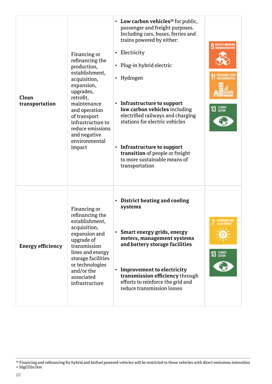| Clean<br>transportation  | Financing or<br>refinancing the<br>production,<br>establishment.<br>acquisition,<br>expansion,<br>upgrades,<br>retrofit.<br>maintenance<br>and operation<br>of transport<br>infrastructure to<br>reduce emissions<br>and negative<br>environmental<br>impact | • Low carbon vehicles <sup>20</sup> for public,<br>passenger and freight purposes.<br>Including cars, buses, ferries and<br>trains powered by either:<br>• Electricity<br>• Plug-in hybrid electric<br>• Hydrogen<br>• Infrastructure to support<br>low carbon vehicles including<br>electrified railways and charging<br>stations for electric vehicles<br>• Infrastructure to support<br>transition of people or freight<br>to more sustainable means of<br>transportation | <b>9</b> INDUSTRY, INNOVATION |
|--------------------------|--------------------------------------------------------------------------------------------------------------------------------------------------------------------------------------------------------------------------------------------------------------|------------------------------------------------------------------------------------------------------------------------------------------------------------------------------------------------------------------------------------------------------------------------------------------------------------------------------------------------------------------------------------------------------------------------------------------------------------------------------|-------------------------------|
| <b>Energy efficiency</b> | Financing or<br>refinancing the<br>establishment,<br>acquisition,<br>expansion and<br>upgrade of<br>transmission<br>lines and energy<br>storage facilities<br>or technologies<br>and/or the<br>associated<br>infrastructure                                  | • District heating and cooling<br>systems<br>• Smart energy grids, energy<br>meters, management systems<br>and battery storage facilities<br>• Improvement to electricity<br>transmission efficiency through<br>efforts to reinforce the grid and<br>reduce transmission losses                                                                                                                                                                                              | 13 음                          |

<sup>20</sup> Financing and refinancing for hybrid and biofuel powered vehicles will be restricted to those vehicles with direct emissions intensities < 50gCO2e/km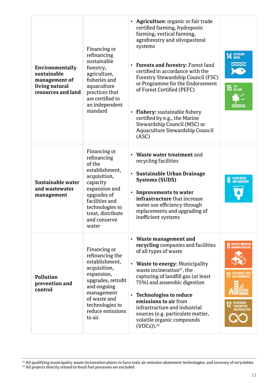| Environmentally<br>sustainable<br>management of<br>living natural<br>resources and land | Financing or<br>refinancing<br>sustainable<br>forestry,<br>agriculture,<br>fisheries and<br>aguaculture<br>practices that<br>are certified to<br>an independent<br>standard                            | • Agriculture: organic or fair trade<br>certified farming, hydroponic<br>farming, vertical farming,<br>agroforestry and silvopastoral<br>systems<br>• Forests and forestry: Forest land<br>certified in accordance with the<br>Forestry Stewardship Council (FSC)<br>or Programme for the Endorsement<br>of Forest Certified (PEFC)<br>• Fishery: sustainable fishery<br>certified by e.g., the Marine<br>Stewardship Council (MSC) or<br>Aquaculture Stewardship Council<br>(ASC) | 4 WERE                        |
|-----------------------------------------------------------------------------------------|--------------------------------------------------------------------------------------------------------------------------------------------------------------------------------------------------------|------------------------------------------------------------------------------------------------------------------------------------------------------------------------------------------------------------------------------------------------------------------------------------------------------------------------------------------------------------------------------------------------------------------------------------------------------------------------------------|-------------------------------|
| Sustainable water<br>and wastewater<br>management                                       | Financing or<br>refinancing<br>of the<br>establishment,<br>acquisition,<br>capacity<br>expansion and<br>upgrades of<br>facilities and<br>technologies to<br>treat, distribute<br>and conserve<br>water | • Waste water treatment and<br>recycling facilities<br>• Sustainable Urban Drainage<br><b>Systems (SUDS)</b><br>• Improvements to water<br>infrastructure that increase<br>water use efficiency through<br>replacements and upgrading of<br>inefficient systems                                                                                                                                                                                                                    | <b>6</b> CLEAN WATER          |
| Pollution<br>prevention and<br>control                                                  | Financing or<br>refinancing the<br>establishment.<br>acquisition,<br>expansion,<br>upgrades, retrofit<br>and ongoing<br>management<br>of waste and<br>technologies to<br>reduce emissions<br>to air    | • Waste management and<br>recycling companies and facilities<br>of all types of waste<br>• Waste to energy: Municipality<br>waste incineration <sup>21</sup> , the<br>capturing of landfill gas (at least<br>75%) and anaerobic digestion<br>• Technologies to reduce<br>emissions to air from<br>infrastructure and industrial<br>sources (e.g. particulate matter,<br>volatile organic compounds<br>$(VOCs)$ ). <sup>22</sup>                                                    | <b>9 INDUSTRY, INNOVATION</b> |

<sup>21</sup> All qualifying municipality waste incineration plants to have toxic air emission abatement technologies, and recovery of recyclables<br><sup>22</sup> All projects directly related to fossil fuel processes are excluded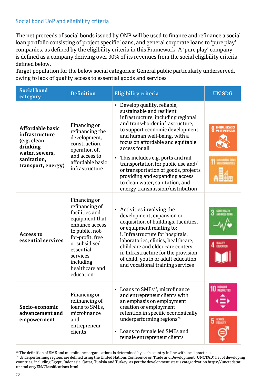### Social bond UoP and eligibility criteria

The net proceeds of social bonds issued by QNB will be used to finance and refinance a social loan portfolio consisting of project specific loans, and general corporate loans to 'pure play' companies, as defined by the eligibility criteria in this Framework. A 'pure play' company is defined as a company deriving over 90% of its revenues from the social eligibility criteria defined below.

Target population for the below social categories: General public particularly underserved, owing to lack of quality access to essential goods and services

| <b>Social bond</b><br>category                                                                                              | <b>Definition</b>                                                                                                                                                                                                 | <b>Eligibility criteria</b>                                                                                                                                                                                                                                                                                                                                                                                                                                                                 | <b>UN SDG</b>                 |
|-----------------------------------------------------------------------------------------------------------------------------|-------------------------------------------------------------------------------------------------------------------------------------------------------------------------------------------------------------------|---------------------------------------------------------------------------------------------------------------------------------------------------------------------------------------------------------------------------------------------------------------------------------------------------------------------------------------------------------------------------------------------------------------------------------------------------------------------------------------------|-------------------------------|
| <b>Affordable basic</b><br>infrastructure<br>(e.g. clean<br>drinking<br>water, sewers,<br>sanitation,<br>transport, energy) | Financing or<br>refinancing the<br>development,<br>construction,<br>operation of,<br>and access to<br>affordable basic<br>infrastructure                                                                          | • Develop quality, reliable,<br>sustainable and resilient<br>infrastructure, including regional<br>and trans-border infrastructure,<br>to support economic development<br>and human well-being, with a<br>focus on affordable and equitable<br>access for all<br>• This includes e.g. ports and rail<br>transportation for public use and/<br>or transportation of goods, projects<br>providing and expanding access<br>to clean water, sanitation, and<br>energy transmission/distribution | <b>9</b> INDUSTRY, INNOVATION |
| <b>Access to</b><br>essential services                                                                                      | Financing or<br>refinancing of<br>facilities and<br>equipment that<br>enhance access<br>to public, not-<br>for-profit, free<br>or subsidised<br>essential<br>services<br>including<br>healthcare and<br>education | • Activities involving the<br>development, expansion or<br>acquisition of buildings, facilities,<br>or equipment relating to:<br>i. Infrastructure for hospitals,<br>laboratories, clinics, healthcare,<br>childcare and elder care centers<br>ii. Infrastructure for the provision<br>of child, youth or adult education<br>and vocational training services                                                                                                                               |                               |
| Socio-economic<br>advancement and<br>empowerment                                                                            | Financing or<br>refinancing of<br>loans to SMEs.<br>microfinance<br>and<br>entrepreneur<br>clients                                                                                                                | • Loans to SMEs <sup>23</sup> , microfinance<br>and entrepreneur clients with<br>an emphasis on employment<br>creation or employment<br>retention in specific economically<br>underperforming regions <sup>24</sup><br>Loans to female led SMEs and<br>female entrepreneur clients                                                                                                                                                                                                          |                               |

<sup>23</sup> The definition of SME and microfinance organisations is determined by each country in line with local practices <sup>24</sup> Underperforming regions are defined using the United Nations Conference on Trade and Development (UNCTAD) list of developing countries, including Egypt, Indonesia, Qatar, Tunisia and Turkey, as per the development status categorization https://unctadstat. unctad.org/EN/Classifications.html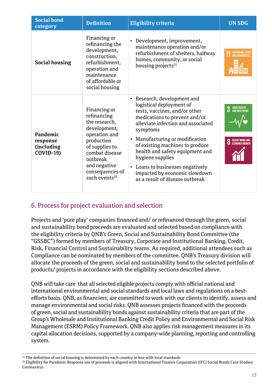| <b>Social bond</b><br>category                          | <b>Definition</b>                                                                                                                                                                                           | Eligibility criteria                                                                                                                                                                                                                                                                                                                                                                                                   | <b>UN SDG</b>                      |
|---------------------------------------------------------|-------------------------------------------------------------------------------------------------------------------------------------------------------------------------------------------------------------|------------------------------------------------------------------------------------------------------------------------------------------------------------------------------------------------------------------------------------------------------------------------------------------------------------------------------------------------------------------------------------------------------------------------|------------------------------------|
| Social housing                                          | Financing or<br>refinancing the<br>development,<br>construction,<br>refurbishment,<br>operation and<br>maintenance<br>of affordable or<br>social housing                                                    | Development, improvement,<br>٠<br>maintenance operation and/or<br>refurbishment of shelters, halfway<br>homes, community, or social<br>housing projects <sup>25</sup>                                                                                                                                                                                                                                                  |                                    |
| Pandemic<br>response<br>(including)<br><b>COVID-19)</b> | Financing or<br>refinancing<br>the research,<br>development,<br>operation and<br>production<br>of supplies to<br>combat disease<br>outbreak<br>and negative<br>consequences of<br>such events <sup>26</sup> | Research, development and<br>٠<br>logistical deployment of<br>tests, vaccines, and/or other<br>medications to prevent and/or<br>alleviate infection and associated<br>symptoms<br>Manufacturing or modification<br>٠<br>of existing machines to produce<br>health and safety equipment and<br>hygiene supplies<br>• Loans to businesses negatively<br>impacted by economic slowdown<br>as a result of disease outbreak | DECENT WORK AND<br>Economic Growth |

## 6. Process for project evaluation and selection

Projects and 'pure play' companies financed and/ or refinanced through the green, social and sustainability bond proceeds are evaluated and selected based on compliance with the eligibility criteria by QNB's Green, Social and Sustainability Bond Committee (the "GSSBC") formed by members of Treasury, Corporate and Institutional Banking, Credit, Risk, Financial Control and Sustainability teams. As required, additional attendees such as Compliance can be nominated by members of the committee. QNB's Treasury division will allocate the proceeds of the green, social and sustainability bond to the selected portfolio of products/ projects in accordance with the eligibility sections described above.

QNB will take care that all selected eligible projects comply with official national and international environmental and social standards and local laws and regulations on a bestefforts basis. QNB, as financiers, are committed to work with our clients to identify, assess and manage environmental and social risks. QNB assesses projects financed with the proceeds of green, social and sustainability bonds against sustainability criteria that are part of the Group's Wholesale and Institutional Banking Credit Policy and Environmental and Social Risk Management (ESRM) Policy Framework. QNB also applies risk management measures in its capital allocation decisions, supported by a company-wide planning, reporting and controlling system.

26 Eligibility for Pandemic Response use of proceeds is aligned with International Finance Corporation (IFC) Social Bonds Case Studies: Coronavirus

<sup>&</sup>lt;sup>25</sup> The definition of social housing is determined by each country in line with local standards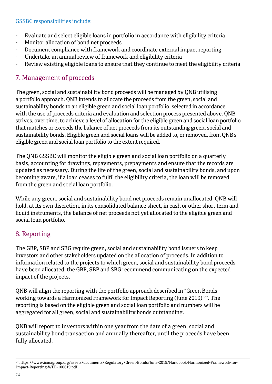#### GSSBC responsibilities include:

- Evaluate and select eligible loans in portfolio in accordance with eligibility criteria
- Monitor allocation of bond net proceeds
- Document compliance with framework and coordinate external impact reporting
- Undertake an annual review of framework and eligibility criteria
- Review existing eligible loans to ensure that they continue to meet the eligibility criteria

## 7. Management of proceeds

The green, social and sustainability bond proceeds will be managed by QNB utilising a portfolio approach. QNB intends to allocate the proceeds from the green, social and sustainability bonds to an eligible green and social loan portfolio, selected in accordance with the use of proceeds criteria and evaluation and selection process presented above. QNB strives, over time, to achieve a level of allocation for the eligible green and social loan portfolio that matches or exceeds the balance of net proceeds from its outstanding green, social and sustainability bonds. Eligible green and social loans will be added to, or removed, from QNB's eligible green and social loan portfolio to the extent required.

The QNB GSSBC will monitor the eligible green and social loan portfolio on a quarterly basis, accounting for drawings, repayments, prepayments and ensure that the records are updated as necessary. During the life of the green, social and sustainability bonds, and upon becoming aware, if a loan ceases to fulfil the eligibility criteria, the loan will be removed from the green and social loan portfolio.

While any green, social and sustainability bond net proceeds remain unallocated, QNB will hold, at its own discretion, in its consolidated balance sheet, in cash or other short term and liquid instruments, the balance of net proceeds not yet allocated to the eligible green and social loan portfolio.

## 8. Reporting

The GBP, SBP and SBG require green, social and sustainability bond issuers to keep investors and other stakeholders updated on the allocation of proceeds. In addition to information related to the projects to which green, social and sustainability bond proceeds have been allocated, the GBP, SBP and SBG recommend communicating on the expected impact of the projects.

QNB will align the reporting with the portfolio approach described in "Green Bonds working towards a Harmonized Framework for Impact Reporting (June 2019)"27. The reporting is based on the eligible green and social loan portfolio and numbers will be aggregated for all green, social and sustainability bonds outstanding.

QNB will report to investors within one year from the date of a green, social and sustainability bond transaction and annually thereafter, until the proceeds have been fully allocated.

<sup>&</sup>lt;sup>27</sup> https://www.icmagroup.org/assets/documents/Regulatory/Green-Bonds/June-2019/Handbook-Harmonized-Framework-for-Impact-Reporting-WEB-100619.pdf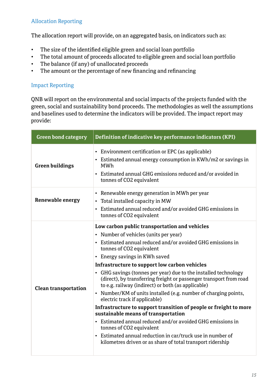## Allocation Reporting

The allocation report will provide, on an aggregated basis, on indicators such as:

- The size of the identified eligible green and social loan portfolio
- The total amount of proceeds allocated to eligible green and social loan portfolio
- The balance (if any) of unallocated proceeds
- The amount or the percentage of new financing and refinancing

### Impact Reporting

QNB will report on the environmental and social impacts of the projects funded with the green, social and sustainability bond proceeds. The methodologies as well the assumptions and baselines used to determine the indicators will be provided. The impact report may provide:

| <b>Green bond category</b>  | Definition of indicative key performance indicators (KPI)                                                                                                                                                                                                                                                                                                                                                                                                                                                                                                                                                                                                                                                                                                                                                                                                                                               |
|-----------------------------|---------------------------------------------------------------------------------------------------------------------------------------------------------------------------------------------------------------------------------------------------------------------------------------------------------------------------------------------------------------------------------------------------------------------------------------------------------------------------------------------------------------------------------------------------------------------------------------------------------------------------------------------------------------------------------------------------------------------------------------------------------------------------------------------------------------------------------------------------------------------------------------------------------|
| <b>Green buildings</b>      | • Environment certification or EPC (as applicable)<br>• Estimated annual energy consumption in KWh/m2 or savings in<br>MWh<br>• Estimated annual GHG emissions reduced and/or avoided in<br>tonnes of CO2 equivalent                                                                                                                                                                                                                                                                                                                                                                                                                                                                                                                                                                                                                                                                                    |
| Renewable energy            | • Renewable energy generation in MWh per year<br>• Total installed capacity in MW<br>• Estimated annual reduced and/or avoided GHG emissions in<br>tonnes of CO2 equivalent                                                                                                                                                                                                                                                                                                                                                                                                                                                                                                                                                                                                                                                                                                                             |
| <b>Clean transportation</b> | Low carbon public transportation and vehicles<br>• Number of vehicles (units per year)<br>• Estimated annual reduced and/or avoided GHG emissions in<br>tonnes of CO2 equivalent<br>• Energy savings in KWh saved<br>Infrastructure to support low carbon vehicles<br>• GHG savings (tonnes per year) due to the installed technology<br>(direct), by transferring freight or passenger transport from road<br>to e.g. railway (indirect) or both (as applicable)<br>• Number/KM of units installed (e.g. number of charging points,<br>electric track if applicable)<br>Infrastructure to support transition of people or freight to more<br>sustainable means of transportation<br>• Estimated annual reduced and/or avoided GHG emissions in<br>tonnes of CO2 equivalent<br>• Estimated annual reduction in car/truck use in number of<br>kilometres driven or as share of total transport ridership |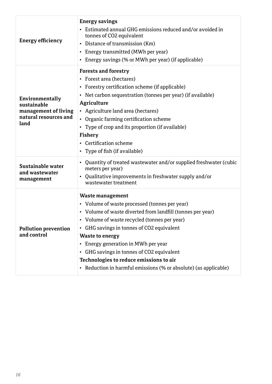| <b>Energy efficiency</b>                                                                | <b>Energy savings</b><br>• Estimated annual GHG emissions reduced and/or avoided in<br>tonnes of CO2 equivalent<br>• Distance of transmission (Km)<br>• Energy transmitted (MWh per year)<br>• Energy savings (% or MWh per year) (if applicable)                                                                                                                                                                                                         |
|-----------------------------------------------------------------------------------------|-----------------------------------------------------------------------------------------------------------------------------------------------------------------------------------------------------------------------------------------------------------------------------------------------------------------------------------------------------------------------------------------------------------------------------------------------------------|
| Environmentally<br>sustainable<br>management of living<br>natural resources and<br>land | <b>Forests and forestry</b><br>• Forest area (hectares)<br>• Forestry certification scheme (if applicable)<br>• Net carbon sequestration (tonnes per year) (if available)<br>Agriculture<br>• Agriculture land area (hectares)<br>• Organic farming certification scheme<br>• Type of crop and its proportion (if available)<br><b>Fishery</b><br>• Certification scheme<br>• Type of fish (if available)                                                 |
| Sustainable water<br>and wastewater<br>management                                       | • Quantity of treated wastewater and/or supplied freshwater (cubic<br>meters per year)<br>• Qualitative improvements in freshwater supply and/or<br>wastewater treatment                                                                                                                                                                                                                                                                                  |
| <b>Pollution prevention</b><br>and control                                              | Waste management<br>• Volume of waste processed (tonnes per year)<br>• Volume of waste diverted from landfill (tonnes per year)<br>• Volume of waste recycled (tonnes per year)<br>• GHG savings in tonnes of CO2 equivalent<br><b>Waste to energy</b><br>• Energy generation in MWh per year<br>• GHG savings in tonnes of CO2 equivalent<br>Technologies to reduce emissions to air<br>• Reduction in harmful emissions (% or absolute) (as applicable) |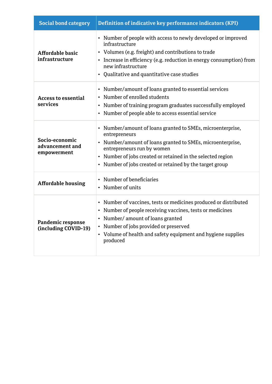| <b>Social bond category</b>                      | Definition of indicative key performance indicators (KPI)                                                                                                                                                                                                                                             |
|--------------------------------------------------|-------------------------------------------------------------------------------------------------------------------------------------------------------------------------------------------------------------------------------------------------------------------------------------------------------|
| Affordable basic<br>infrastructure               | • Number of people with access to newly developed or improved<br>infrastructure<br>• Volumes (e.g. freight) and contributions to trade<br>• Increase in efficiency (e.g. reduction in energy consumption) from<br>new infrastructure<br>• Qualitative and quantitative case studies                   |
| <b>Access to essential</b><br>services           | • Number/amount of loans granted to essential services<br>Number of enrolled students<br>٠<br>Number of training program graduates successfully employed<br>٠<br>• Number of people able to access essential service                                                                                  |
| Socio-economic<br>advancement and<br>empowerment | • Number/amount of loans granted to SMEs, microenterprise,<br>entrepreneurs<br>• Number/amount of loans granted to SMEs, microenterprise,<br>entrepreneurs run by women<br>Number of jobs created or retained in the selected region<br>٠<br>• Number of jobs created or retained by the target group |
| <b>Affordable housing</b>                        | Number of beneficiaries<br>٠<br>Number of units<br>٠                                                                                                                                                                                                                                                  |
| Pandemic response<br>(including COVID-19)        | • Number of vaccines, tests or medicines produced or distributed<br>• Number of people receiving vaccines, tests or medicines<br>• Number/amount of loans granted<br>Number of jobs provided or preserved<br>٠<br>• Volume of health and safety equipment and hygiene supplies<br>produced            |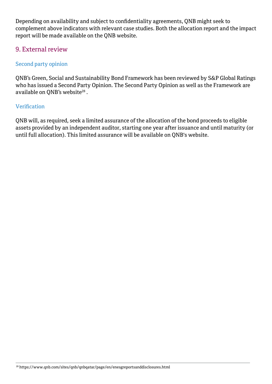Depending on availability and subject to confidentiality agreements, QNB might seek to complement above indicators with relevant case studies. Both the allocation report and the impact report will be made available on the QNB website.

## 9. External review

## Second party opinion

QNB's Green, Social and Sustainability Bond Framework has been reviewed by S&P Global Ratings who has issued a Second Party Opinion. The Second Party Opinion as well as the Framework are available on QNB's website<sup>28</sup>.

#### Verification

QNB will, as required, seek a limited assurance of the allocation of the bond proceeds to eligible assets provided by an independent auditor, starting one year after issuance and until maturity (or until full allocation). This limited assurance will be available on QNB's website.